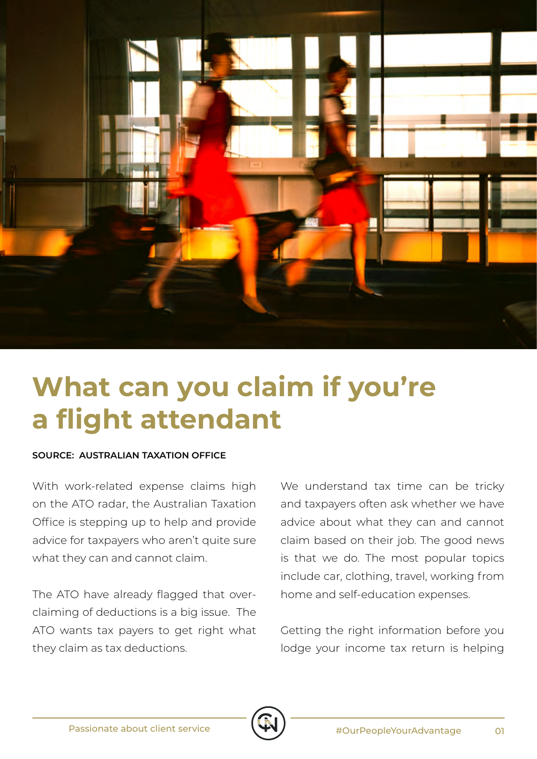

## **What can you claim if you're a flight attendant**

## **SOURCE: AUSTRALIAN TAXATION OFFICE**

With work-related expense claims high on the ATO radar, the Australian Taxation Office is stepping up to help and provide advice for taxpayers who aren't quite sure what they can and cannot claim.

The ATO have already flagged that overclaiming of deductions is a big issue. The ATO wants tax payers to get right what they claim as tax deductions.

We understand tax time can be tricky and taxpayers often ask whether we have advice about what they can and cannot claim based on their job. The good news is that we do. The most popular topics include car, clothing, travel, working from home and self-education expenses.

Getting the right information before you lodge your income tax return is helping